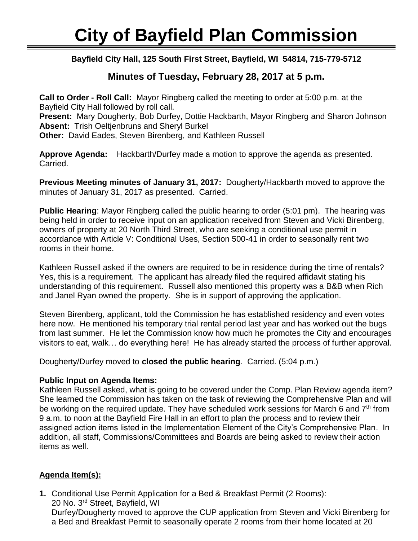Ī **Bayfield City Hall, 125 South First Street, Bayfield, WI 54814, 715-779-5712**

## **Minutes of Tuesday, February 28, 2017 at 5 p.m.**

**Call to Order - Roll Call:** Mayor Ringberg called the meeting to order at 5:00 p.m. at the Bayfield City Hall followed by roll call. **Present:** Mary Dougherty, Bob Durfey, Dottie Hackbarth, Mayor Ringberg and Sharon Johnson **Absent:** Trish Oeltjenbruns and Sheryl Burkel **Other:** David Eades, Steven Birenberg, and Kathleen Russell

**Approve Agenda:** Hackbarth/Durfey made a motion to approve the agenda as presented. Carried.

**Previous Meeting minutes of January 31, 2017:** Dougherty/Hackbarth moved to approve the minutes of January 31, 2017 as presented. Carried.

**Public Hearing**: Mayor Ringberg called the public hearing to order (5:01 pm). The hearing was being held in order to receive input on an application received from Steven and Vicki Birenberg, owners of property at 20 North Third Street, who are seeking a conditional use permit in accordance with Article V: Conditional Uses, Section 500-41 in order to seasonally rent two rooms in their home.

Kathleen Russell asked if the owners are required to be in residence during the time of rentals? Yes, this is a requirement. The applicant has already filed the required affidavit stating his understanding of this requirement. Russell also mentioned this property was a B&B when Rich and Janel Ryan owned the property. She is in support of approving the application.

Steven Birenberg, applicant, told the Commission he has established residency and even votes here now. He mentioned his temporary trial rental period last year and has worked out the bugs from last summer. He let the Commission know how much he promotes the City and encourages visitors to eat, walk… do everything here! He has already started the process of further approval.

Dougherty/Durfey moved to **closed the public hearing**. Carried. (5:04 p.m.)

## **Public Input on Agenda Items:**

Kathleen Russell asked, what is going to be covered under the Comp. Plan Review agenda item? She learned the Commission has taken on the task of reviewing the Comprehensive Plan and will be working on the required update. They have scheduled work sessions for March 6 and  $7<sup>th</sup>$  from 9 a.m. to noon at the Bayfield Fire Hall in an effort to plan the process and to review their assigned action items listed in the Implementation Element of the City's Comprehensive Plan. In addition, all staff, Commissions/Committees and Boards are being asked to review their action items as well.

## **Agenda Item(s):**

**1.** Conditional Use Permit Application for a Bed & Breakfast Permit (2 Rooms): 20 No. 3rd Street, Bayfield, WI Durfey/Dougherty moved to approve the CUP application from Steven and Vicki Birenberg for a Bed and Breakfast Permit to seasonally operate 2 rooms from their home located at 20